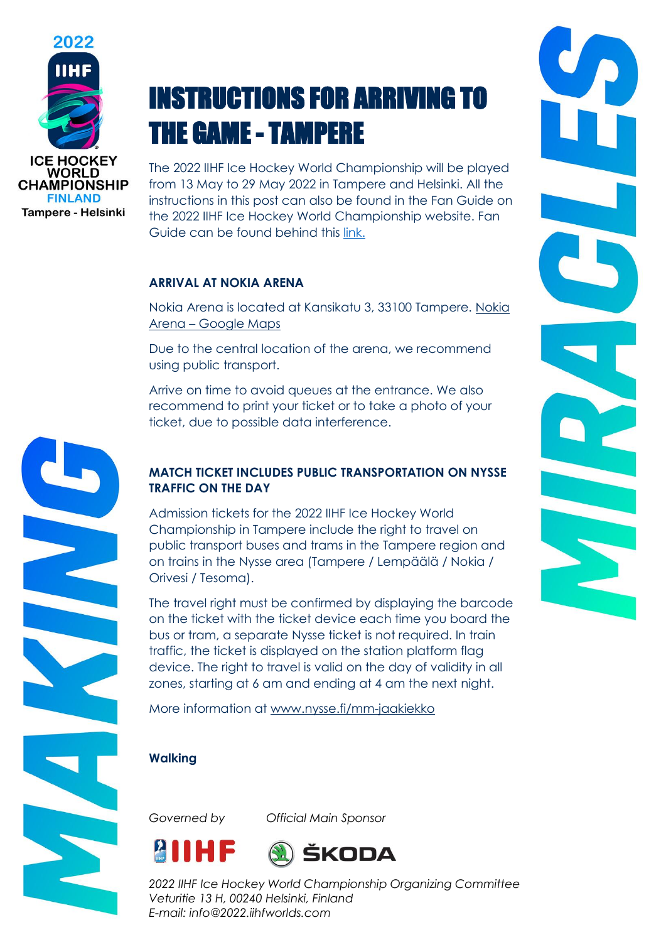

# INSTRUCTIONS FOR ARRIVING TO THE GAME - TAMPERE

The 2022 IIHF Ice Hockey World Championship will be played from 13 May to 29 May 2022 in Tampere and Helsinki. All the instructions in this post can also be found in the Fan Guide on the 2022 IIHF Ice Hockey World Championship website. Fan Guide can be found behind this [link.](https://www.iihf.com/en/events/2022/wm/statichub/24192/fan_guide)

### **ARRIVAL AT NOKIA ARENA**

Nokia Arena is located at Kansikatu 3, 33100 Tampere. [Nokia](https://www.google.com/maps/place/Nokia+Arena/@61.494013,23.7697387,17z/data=!3m1!4b1!4m5!3m4!1s0x468edf53abea6617:0xe3d98c4bf9b3abc9!8m2!3d61.4940165!4d23.7720344)  Arena – [Google Maps](https://www.google.com/maps/place/Nokia+Arena/@61.494013,23.7697387,17z/data=!3m1!4b1!4m5!3m4!1s0x468edf53abea6617:0xe3d98c4bf9b3abc9!8m2!3d61.4940165!4d23.7720344)

Due to the central location of the arena, we recommend using public transport.

Arrive on time to avoid queues at the entrance. We also recommend to print your ticket or to take a photo of your ticket, due to possible data interference.

# **MATCH TICKET INCLUDES PUBLIC TRANSPORTATION ON NYSSE TRAFFIC ON THE DAY**

Admission tickets for the 2022 IIHF Ice Hockey World Championship in Tampere include the right to travel on public transport buses and trams in the Tampere region and on trains in the Nysse area (Tampere / Lempäälä / Nokia / Orivesi / Tesoma).

The travel right must be confirmed by displaying the barcode on the ticket with the ticket device each time you board the bus or tram, a separate Nysse ticket is not required. In train traffic, the ticket is displayed on the station platform flag device. The right to travel is valid on the day of validity in all zones, starting at 6 am and ending at 4 am the next night.

More information at [www.nysse.fi/mm-jaakiekko](http://www.nysse.fi/mm-jaakiekko)

### **Walking**

*Governed by Official Main Sponsor*



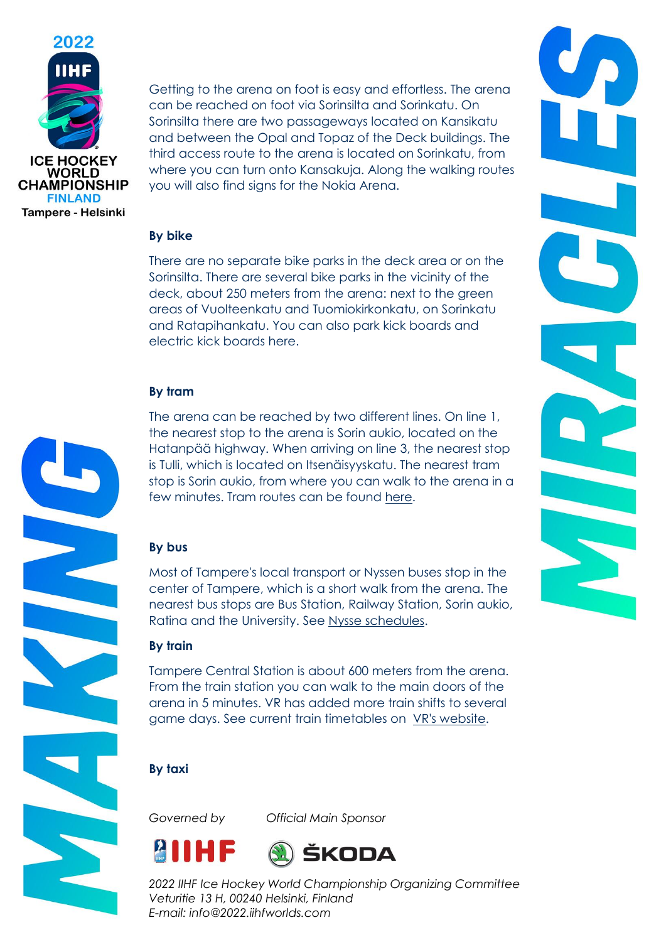

Getting to the arena on foot is easy and effortless. The arena can be reached on foot via Sorinsilta and Sorinkatu. On Sorinsilta there are two passageways located on Kansikatu and between the Opal and Topaz of the Deck buildings. The third access route to the arena is located on Sorinkatu, from where you can turn onto Kansakuja. Along the walking routes you will also find signs for the Nokia Arena.

### **By bike**

There are no separate bike parks in the deck area or on the Sorinsilta. There are several bike parks in the vicinity of the deck, about 250 meters from the arena: next to the green areas of Vuolteenkatu and Tuomiokirkonkatu, on Sorinkatu and Ratapihankatu. You can also park kick boards and electric kick boards here.

### **By tram**

The arena can be reached by two different lines. On line 1, the nearest stop to the arena is Sorin aukio, located on the Hatanpää highway. When arriving on line 3, the nearest stop is Tulli, which is located on Itsenäisyyskatu. The nearest tram stop is Sorin aukio, from where you can walk to the arena in a few minutes. Tram routes can be found [here.](https://reittiopas.tampere.fi/-/Nokia%20Arena%2C%20Kalevanharju%2C%20Tampere%3A%3A61.493611%2C23.773954)

### **By bus**

Most of Tampere's local transport or Nyssen buses stop in the center of Tampere, which is a short walk from the arena. The nearest bus stops are Bus Station, Railway Station, Sorin aukio, Ratina and the University. See [Nysse schedules.](https://reittiopas.tampere.fi/-/Nokia%20Arena%2C%20Kalevanharju%2C%20Tampere%3A%3A61.493611%2C23.773954)

### **By train**

Tampere Central Station is about 600 meters from the arena. From the train station you can walk to the main doors of the arena in 5 minutes. VR has added more train shifts to several game days. See current train timetables on [VR's website.](https://www.vr.fi/)

### **By taxi**

*Governed by Official Main Sponsor*





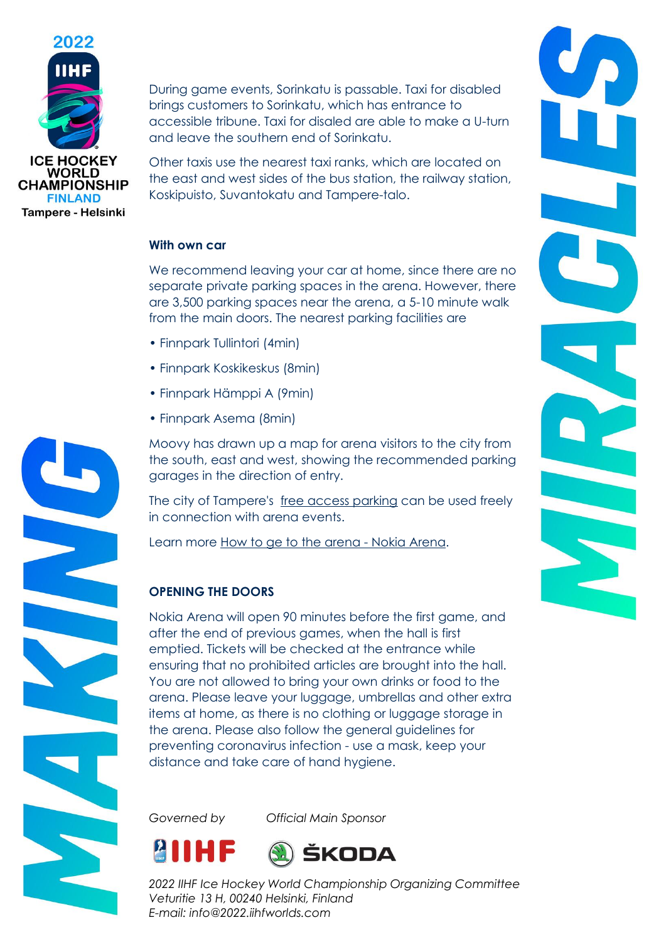

During game events, Sorinkatu is passable. Taxi for disabled brings customers to Sorinkatu, which has entrance to accessible tribune. Taxi for disaled are able to make a U-turn and leave the southern end of Sorinkatu.

Other taxis use the nearest taxi ranks, which are located on the east and west sides of the bus station, the railway station, Koskipuisto, Suvantokatu and Tampere-talo.

### **With own car**

We recommend leaving your car at home, since there are no separate private parking spaces in the arena. However, there are 3,500 parking spaces near the arena, a 5-10 minute walk from the main doors. The nearest parking facilities are

- Finnpark Tullintori (4min)
- Finnpark Koskikeskus (8min)
- Finnpark Hämppi A (9min)
- Finnpark Asema (8min)

Moovy has drawn up a map for arena visitors to the city from the south, east and west, showing the recommended parking garages in the direction of entry.

The city of Tampere's [free access parking](https://www.tampere.fi/liikenne-ja-kadut/pysakointi/liityntapysakointi.html) can be used freely in connection with arena events.

Learn more [How to ge to the arena -](https://nokiaarena.fi/saapuminen/nain-tulet-areenalle/) Nokia Arena.

# **OPENING THE DOORS**

Nokia Arena will open 90 minutes before the first game, and after the end of previous games, when the hall is first emptied. Tickets will be checked at the entrance while ensuring that no prohibited articles are brought into the hall. You are not allowed to bring your own drinks or food to the arena. Please leave your luggage, umbrellas and other extra items at home, as there is no clothing or luggage storage in the arena. Please also follow the general guidelines for preventing coronavirus infection - use a mask, keep your distance and take care of hand hygiene.

*Governed by Official Main Sponsor*





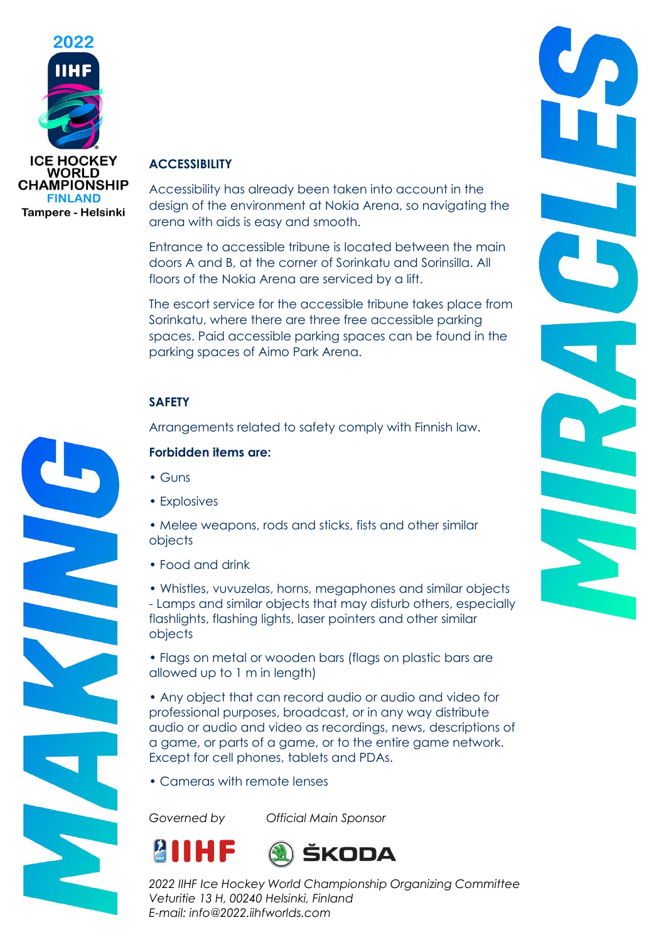

### **ACCESSIBILITY**

Accessibility has already been taken into account in the design of the environment at Nokia Arena, so navigating the arena with aids is easy and smooth.

Entrance to accessible tribune is located between the main doors A and B, at the corner of Sorinkatu and Sorinsilla. All floors of the Nokia Arena are serviced by a lift.

The escort service for the accessible tribune takes place from Sorinkatu, where there are three free accessible parking spaces. Paid accessible parking spaces can be found in the parking spaces of Aimo Park Arena.

### **SAFETY**

Arrangements related to safety comply with Finnish law.

### **Forbidden items are:**

- Guns
- Explosives

• Melee weapons, rods and sticks, fists and other similar objects

• Food and drink

• Whistles, vuvuzelas, horns, megaphones and similar objects - Lamps and similar objects that may disturb others, especially flashlights, flashing lights, laser pointers and other similar objects

• Flags on metal or wooden bars (flags on plastic bars are allowed up to 1 m in length)

• Any object that can record audio or audio and video for professional purposes, broadcast, or in any way distribute audio or audio and video as recordings, news, descriptions of a game, or parts of a game, or to the entire game network. Except for cell phones, tablets and PDAs.

• Cameras with remote lenses

*Governed by Official Main Sponsor*



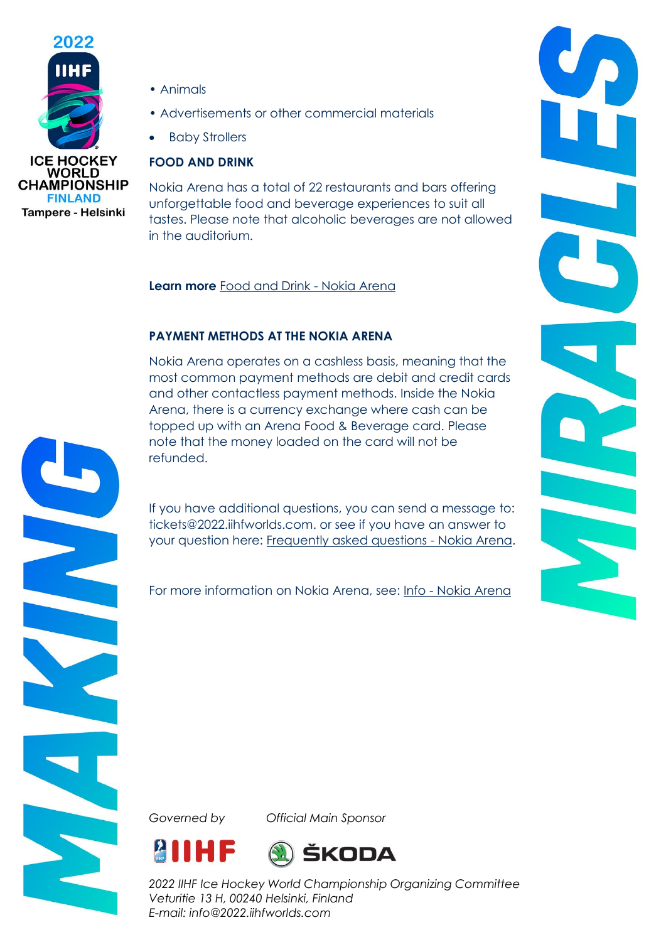

Tampere - Helsinki

- Animals
- Advertisements or other commercial materials
- **Baby Strollers**

# **FOOD AND DRINK**

Nokia Arena has a total of 22 restaurants and bars offering unforgettable food and beverage experiences to suit all tastes. Please note that alcoholic beverages are not allowed in the auditorium.

**Learn more** [Food and Drink -](https://nokiaarena.fi/ruoka-ja-juoma/) Nokia Arena

# **PAYMENT METHODS AT THE NOKIA ARENA**

Nokia Arena operates on a cashless basis, meaning that the most common payment methods are debit and credit cards and other contactless payment methods. Inside the Nokia Arena, there is a currency exchange where cash can be topped up with an Arena Food & Beverage card. Please note that the money loaded on the card will not be refunded.

If you have additional questions, you can send a message to: tickets@2022.iihfworlds.com. or see if you have an answer to your question here: [Frequently asked questions -](https://nokiaarena.fi/info/usein-kysyttya/) Nokia Arena.

For more information on Nokia Arena, see: Info - [Nokia Arena](https://nokiaarena.fi/info/)

*Governed by Official Main Sponsor*





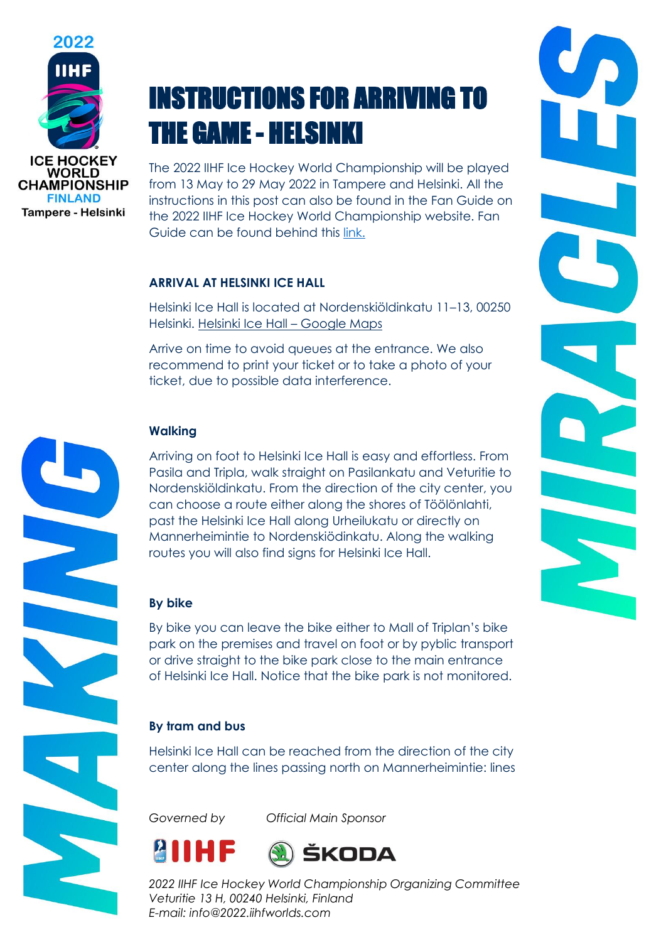

# INSTRUCTIONS FOR ARRIVING TO THE GAME - HELSINKI

The 2022 IIHF Ice Hockey World Championship will be played from 13 May to 29 May 2022 in Tampere and Helsinki. All the instructions in this post can also be found in the Fan Guide on the 2022 IIHF Ice Hockey World Championship website. Fan Guide can be found behind this [link.](https://www.iihf.com/en/events/2022/wm/statichub/24192/fan_guide)

### **ARRIVAL AT HELSINKI ICE HALL**

Helsinki Ice Hall is located at Nordenskiöldinkatu 11–13, 00250 Helsinki. [Helsinki Ice Hall](https://goo.gl/maps/8wtvFK6CGtrDMMBB9) – Google Maps

Arrive on time to avoid queues at the entrance. We also recommend to print your ticket or to take a photo of your ticket, due to possible data interference.

### **Walking**

Arriving on foot to Helsinki Ice Hall is easy and effortless. From Pasila and Tripla, walk straight on Pasilankatu and Veturitie to Nordenskiöldinkatu. From the direction of the city center, you can choose a route either along the shores of Töölönlahti, past the Helsinki Ice Hall along Urheilukatu or directly on Mannerheimintie to Nordenskiödinkatu. Along the walking routes you will also find signs for Helsinki Ice Hall.

### **By bike**

By bike you can leave the bike either to Mall of Triplan's bike park on the premises and travel on foot or by pyblic transport or drive straight to the bike park close to the main entrance of Helsinki Ice Hall. Notice that the bike park is not monitored.

# **By tram and bus**

Helsinki Ice Hall can be reached from the direction of the city center along the lines passing north on Mannerheimintie: lines

*Governed by Official Main Sponsor*







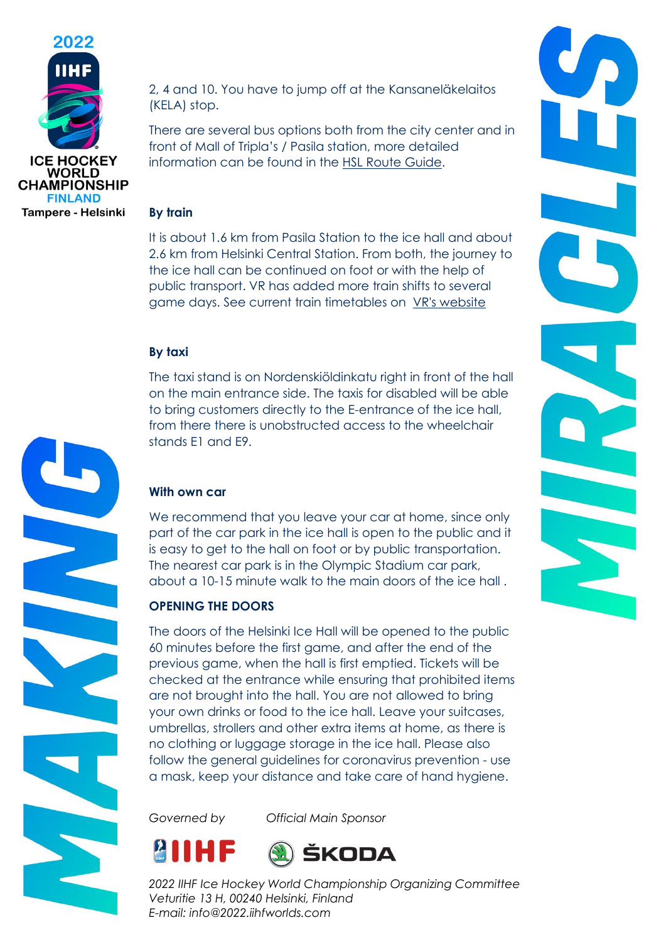

2, 4 and 10. You have to jump off at the Kansaneläkelaitos (KELA) stop.

There are several bus options both from the city center and in front of Mall of Tripla's / Pasila station, more detailed information can be found in the [HSL Route Guide.](https://www.hsl.fi/)

#### **By train**

It is about 1.6 km from Pasila Station to the ice hall and about 2.6 km from Helsinki Central Station. From both, the journey to the ice hall can be continued on foot or with the help of public transport. VR has added more train shifts to several game days. See current train timetables on [VR's website](https://www.vr.fi/)

### **By taxi**

The taxi stand is on Nordenskiöldinkatu right in front of the hall on the main entrance side. The taxis for disabled will be able to bring customers directly to the E-entrance of the ice hall, from there there is unobstructed access to the wheelchair stands E1 and E9.

### **With own car**

We recommend that you leave your car at home, since only part of the car park in the ice hall is open to the public and it is easy to get to the hall on foot or by public transportation. The nearest car park is in the Olympic Stadium car park, about a 10-15 minute walk to the main doors of the ice hall .

# **OPENING THE DOORS**

The doors of the Helsinki Ice Hall will be opened to the public 60 minutes before the first game, and after the end of the previous game, when the hall is first emptied. Tickets will be checked at the entrance while ensuring that prohibited items are not brought into the hall. You are not allowed to bring your own drinks or food to the ice hall. Leave your suitcases, umbrellas, strollers and other extra items at home, as there is no clothing or luggage storage in the ice hall. Please also follow the general guidelines for coronavirus prevention - use a mask, keep your distance and take care of hand hygiene.

*Governed by Official Main Sponsor*





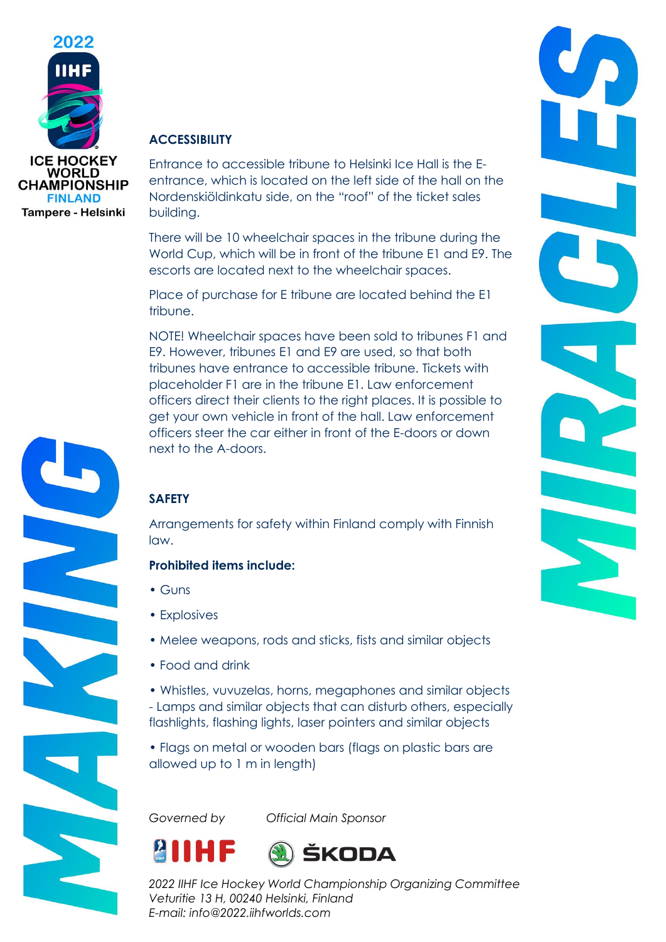

### **ACCESSIBILITY**

Entrance to accessible tribune to Helsinki Ice Hall is the Eentrance, which is located on the left side of the hall on the Nordenskiöldinkatu side, on the "roof" of the ticket sales building.

There will be 10 wheelchair spaces in the tribune during the World Cup, which will be in front of the tribune E1 and E9. The escorts are located next to the wheelchair spaces.

Place of purchase for E tribune are located behind the E1 tribune.

NOTE! Wheelchair spaces have been sold to tribunes F1 and E9. However, tribunes E1 and E9 are used, so that both tribunes have entrance to accessible tribune. Tickets with placeholder F1 are in the tribune E1. Law enforcement officers direct their clients to the right places. It is possible to get your own vehicle in front of the hall. Law enforcement officers steer the car either in front of the E-doors or down next to the A-doors.

# **SAFETY**

Arrangements for safety within Finland comply with Finnish law.

### **Prohibited items include:**

- Guns
- Explosives
- Melee weapons, rods and sticks, fists and similar objects
- Food and drink
- Whistles, vuvuzelas, horns, megaphones and similar objects - Lamps and similar objects that can disturb others, especially flashlights, flashing lights, laser pointers and similar objects
- Flags on metal or wooden bars (flags on plastic bars are allowed up to 1 m in length)

*Governed by Official Main Sponsor*